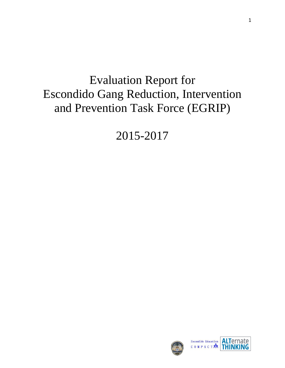# Evaluation Report for Escondido Gang Reduction, Intervention and Prevention Task Force (EGRIP)

2015-2017

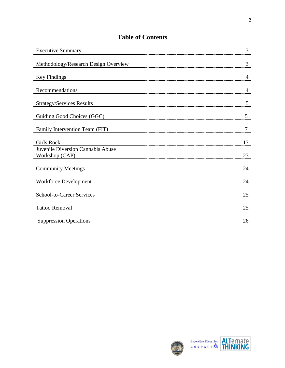## **Table of Contents**

| <b>Executive Summary</b>                            | 3  |
|-----------------------------------------------------|----|
| Methodology/Research Design Overview                | 3  |
| <b>Key Findings</b>                                 | 4  |
| Recommendations                                     | 4  |
| <b>Strategy/Services Results</b>                    | 5  |
| Guiding Good Choices (GGC)                          | 5  |
| Family Intervention Team (FIT)                      | 7  |
| <b>Girls Rock</b>                                   | 17 |
| Juvenile Diversion Cannabis Abuse<br>Workshop (CAP) | 23 |
| <b>Community Meetings</b>                           | 24 |
| <b>Workforce Development</b>                        | 24 |
| School-to-Career Services                           | 25 |
| <b>Tattoo Removal</b>                               | 25 |
| <b>Suppression Operations</b>                       | 26 |



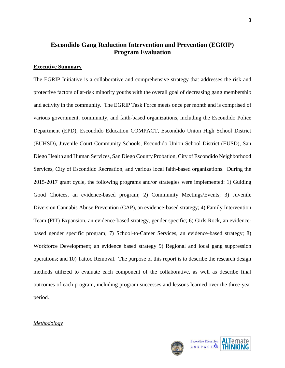## **Escondido Gang Reduction Intervention and Prevention (EGRIP) Program Evaluation**

#### **Executive Summary**

The EGRIP Initiative is a collaborative and comprehensive strategy that addresses the risk and protective factors of at-risk minority youths with the overall goal of decreasing gang membership and activity in the community. The EGRIP Task Force meets once per month and is comprised of various government, community, and faith-based organizations, including the Escondido Police Department (EPD), Escondido Education COMPACT, Escondido Union High School District (EUHSD), Juvenile Court Community Schools, Escondido Union School District (EUSD), San Diego Health and Human Services, San Diego County Probation, City of Escondido Neighborhood Services, City of Escondido Recreation, and various local faith-based organizations. During the 2015-2017 grant cycle, the following programs and/or strategies were implemented: 1) Guiding Good Choices, an evidence-based program; 2) Community Meetings/Events; 3) Juvenile Diversion Cannabis Abuse Prevention (CAP), an evidence-based strategy; 4) Family Intervention Team (FIT) Expansion, an evidence-based strategy, gender specific; 6) Girls Rock, an evidencebased gender specific program; 7) School-to-Career Services, an evidence-based strategy; 8) Workforce Development; an evidence based strategy 9) Regional and local gang suppression operations; and 10) Tattoo Removal. The purpose of this report is to describe the research design methods utilized to evaluate each component of the collaborative, as well as describe final outcomes of each program, including program successes and lessons learned over the three-year period.

## *Methodology*





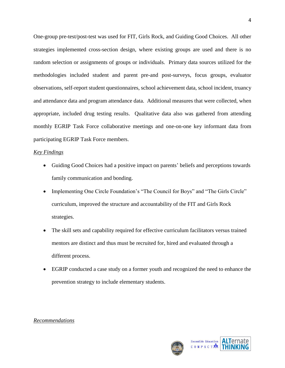One-group pre-test/post-test was used for FIT, Girls Rock, and Guiding Good Choices. All other strategies implemented cross-section design, where existing groups are used and there is no random selection or assignments of groups or individuals. Primary data sources utilized for the methodologies included student and parent pre-and post-surveys, focus groups, evaluator observations, self-report student questionnaires, school achievement data, school incident, truancy and attendance data and program attendance data. Additional measures that were collected, when appropriate, included drug testing results. Qualitative data also was gathered from attending monthly EGRIP Task Force collaborative meetings and one-on-one key informant data from participating EGRIP Task Force members.

## *Key Findings*

- Guiding Good Choices had a positive impact on parents' beliefs and perceptions towards family communication and bonding.
- Implementing One Circle Foundation's "The Council for Boys" and "The Girls Circle" curriculum, improved the structure and accountability of the FIT and Girls Rock strategies.
- The skill sets and capability required for effective curriculum facilitators versus trained mentors are distinct and thus must be recruited for, hired and evaluated through a different process.
- EGRIP conducted a case study on a former youth and recognized the need to enhance the prevention strategy to include elementary students.

## *Recommendations*



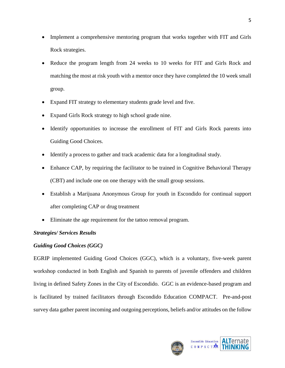- Implement a comprehensive mentoring program that works together with FIT and Girls Rock strategies.
- Reduce the program length from 24 weeks to 10 weeks for FIT and Girls Rock and matching the most at risk youth with a mentor once they have completed the 10 week small group.
- Expand FIT strategy to elementary students grade level and five.
- Expand Girls Rock strategy to high school grade nine.
- Identify opportunities to increase the enrollment of FIT and Girls Rock parents into Guiding Good Choices.
- Identify a process to gather and track academic data for a longitudinal study.
- Enhance CAP, by requiring the facilitator to be trained in Cognitive Behavioral Therapy (CBT) and include one on one therapy with the small group sessions.
- Establish a Marijuana Anonymous Group for youth in Escondido for continual support after completing CAP or drug treatment
- Eliminate the age requirement for the tattoo removal program.

## *Strategies/ Services Results*

## *Guiding Good Choices (GGC)*

EGRIP implemented Guiding Good Choices (GGC), which is a voluntary, five-week parent workshop conducted in both English and Spanish to parents of juvenile offenders and children living in defined Safety Zones in the City of Escondido. GGC is an evidence-based program and is facilitated by trained facilitators through Escondido Education COMPACT. Pre-and-post survey data gather parent incoming and outgoing perceptions, beliefs and/or attitudes on the follow



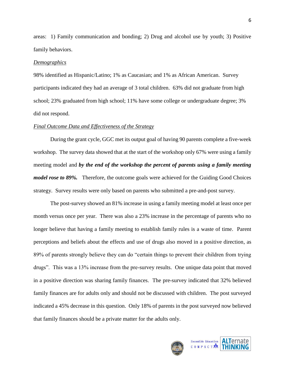areas: 1) Family communication and bonding; 2) Drug and alcohol use by youth; 3) Positive family behaviors.

#### *Demographics*

98% identified as Hispanic/Latino; 1% as Caucasian; and 1% as African American. Survey participants indicated they had an average of 3 total children. 63% did not graduate from high school; 23% graduated from high school; 11% have some college or undergraduate degree; 3% did not respond.

#### *Final Outcome Data and Effectiveness of the Strategy*

During the grant cycle, GGC met its output goal of having 90 parents complete a five-week workshop. The survey data showed that at the start of the workshop only 67% were using a family meeting model and *by the end of the workshop the percent of parents using a family meeting model rose to 89%*. Therefore, the outcome goals were achieved for the Guiding Good Choices strategy. Survey results were only based on parents who submitted a pre-and-post survey.

The post-survey showed an 81% increase in using a family meeting model at least once per month versus once per year. There was also a 23% increase in the percentage of parents who no longer believe that having a family meeting to establish family rules is a waste of time. Parent perceptions and beliefs about the effects and use of drugs also moved in a positive direction, as 89% of parents strongly believe they can do "certain things to prevent their children from trying drugs". This was a 13% increase from the pre-survey results. One unique data point that moved in a positive direction was sharing family finances. The pre-survey indicated that 32% believed family finances are for adults only and should not be discussed with children. The post surveyed indicated a 45% decrease in this question. Only 18% of parents in the post surveyed now believed that family finances should be a private matter for the adults only.



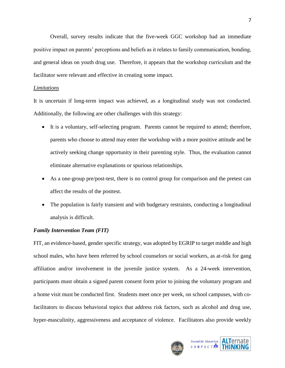Overall, survey results indicate that the five-week GGC workshop had an immediate positive impact on parents' perceptions and beliefs as it relates to family communication, bonding, and general ideas on youth drug use. Therefore, it appears that the workshop curriculum and the facilitator were relevant and effective in creating some impact.

## *Limitations*

It is uncertain if long-term impact was achieved, as a longitudinal study was not conducted. Additionally, the following are other challenges with this strategy:

- It is a voluntary, self-selecting program. Parents cannot be required to attend; therefore, parents who choose to attend may enter the workshop with a more positive attitude and be actively seeking change opportunity in their parenting style. Thus, the evaluation cannot eliminate alternative explanations or spurious relationships.
- As a one-group pre/post-test, there is no control group for comparison and the pretest can affect the results of the posttest.
- The population is fairly transient and with budgetary restraints, conducting a longitudinal analysis is difficult.

## *Family Intervention Team (FIT)*

FIT, an evidence-based, gender specific strategy, was adopted by EGRIP to target middle and high school males, who have been referred by school counselors or social workers, as at-risk for gang affiliation and/or involvement in the juvenile justice system. As a 24-week intervention, participants must obtain a signed parent consent form prior to joining the voluntary program and a home visit must be conducted first. Students meet once per week, on school campuses, with cofacilitators to discuss behavioral topics that address risk factors, such as alcohol and drug use, hyper-masculinity, aggressiveness and acceptance of violence. Facilitators also provide weekly



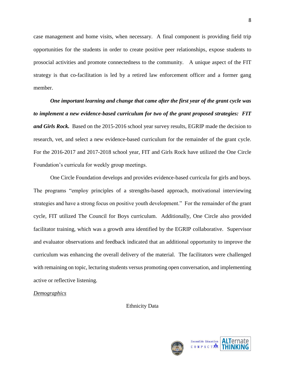case management and home visits, when necessary. A final component is providing field trip opportunities for the students in order to create positive peer relationships, expose students to prosocial activities and promote connectedness to the community. A unique aspect of the FIT strategy is that co-facilitation is led by a retired law enforcement officer and a former gang member.

*One important learning and change that came after the first year of the grant cycle was to implement a new evidence-based curriculum for two of the grant proposed strategies: FIT and Girls Rock.* Based on the 2015-2016 school year survey results, EGRIP made the decision to research, vet, and select a new evidence-based curriculum for the remainder of the grant cycle. For the 2016-2017 and 2017-2018 school year, FIT and Girls Rock have utilized the One Circle Foundation's curricula for weekly group meetings.

One Circle Foundation develops and provides evidence-based curricula for girls and boys. The programs "employ principles of a strengths-based approach, motivational interviewing strategies and have a strong focus on positive youth development." For the remainder of the grant cycle, FIT utilized The Council for Boys curriculum. Additionally, One Circle also provided facilitator training, which was a growth area identified by the EGRIP collaborative. Supervisor and evaluator observations and feedback indicated that an additional opportunity to improve the curriculum was enhancing the overall delivery of the material. The facilitators were challenged with remaining on topic, lecturing students versus promoting open conversation, and implementing active or reflective listening.

## *Demographics*

Ethnicity Data



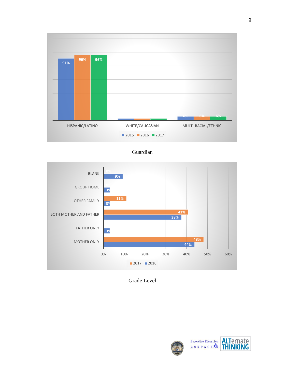

Guardian



Grade Level





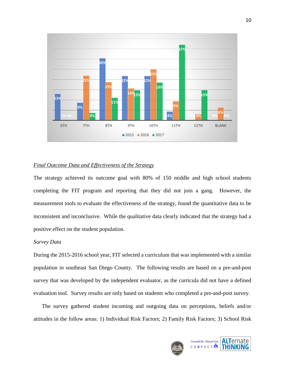

#### *Final Outcome Data and Effectiveness of the Strategy*

The strategy achieved its outcome goal with 80% of 150 middle and high school students completing the FIT program and reporting that they did not join a gang. However, the measurement tools to evaluate the effectiveness of the strategy, found the quantitative data to be inconsistent and inconclusive. While the qualitative data clearly indicated that the strategy had a positive effect on the student population.

## *Survey Data*

During the 2015-2016 school year, FIT selected a curriculum that was implemented with a similar population in southeast San Diego County. The following results are based on a pre-and-post survey that was developed by the independent evaluator, as the curricula did not have a defined evaluation tool. Survey results are only based on students who completed a pre-and-post survey.

The survey gathered student incoming and outgoing data on perceptions, beliefs and/or attitudes in the follow areas: 1) Individual Risk Factors; 2) Family Risk Factors; 3) School Risk



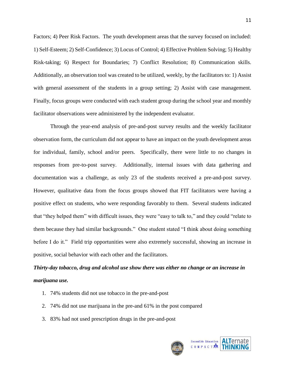Factors; 4) Peer Risk Factors. The youth development areas that the survey focused on included: 1) Self-Esteem; 2) Self-Confidence; 3) Locus of Control; 4) Effective Problem Solving; 5) Healthy Risk-taking; 6) Respect for Boundaries; 7) Conflict Resolution; 8) Communication skills. Additionally, an observation tool was created to be utilized, weekly, by the facilitators to: 1) Assist with general assessment of the students in a group setting; 2) Assist with case management. Finally, focus groups were conducted with each student group during the school year and monthly facilitator observations were administered by the independent evaluator.

Through the year-end analysis of pre-and-post survey results and the weekly facilitator observation form, the curriculum did not appear to have an impact on the youth development areas for individual, family, school and/or peers. Specifically, there were little to no changes in responses from pre-to-post survey. Additionally, internal issues with data gathering and documentation was a challenge, as only 23 of the students received a pre-and-post survey. However, qualitative data from the focus groups showed that FIT facilitators were having a positive effect on students, who were responding favorably to them. Several students indicated that "they helped them" with difficult issues, they were "easy to talk to," and they could "relate to them because they had similar backgrounds." One student stated "I think about doing something before I do it." Field trip opportunities were also extremely successful, showing an increase in positive, social behavior with each other and the facilitators.

# *Thirty-day tobacco, drug and alcohol use show there was either no change or an increase in marijuana use.*

- 1. 74% students did not use tobacco in the pre-and-post
- 2. 74% did not use marijuana in the pre-and 61% in the post compared
- 3. 83% had not used prescription drugs in the pre-and-post



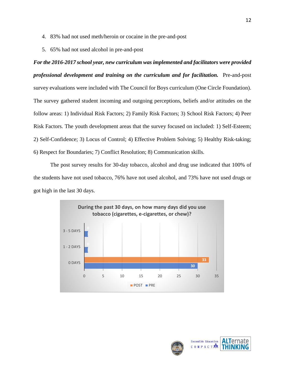- 4. 83% had not used meth/heroin or cocaine in the pre-and-post
- 5. 65% had not used alcohol in pre-and-post

*For the 2016-2017 school year, new curriculum was implemented and facilitators were provided professional development and training on the curriculum and for facilitation.* Pre-and-post survey evaluations were included with The Council for Boys curriculum (One Circle Foundation). The survey gathered student incoming and outgoing perceptions, beliefs and/or attitudes on the follow areas: 1) Individual Risk Factors; 2) Family Risk Factors; 3) School Risk Factors; 4) Peer Risk Factors. The youth development areas that the survey focused on included: 1) Self-Esteem; 2) Self-Confidence; 3) Locus of Control; 4) Effective Problem Solving; 5) Healthy Risk-taking; 6) Respect for Boundaries; 7) Conflict Resolution; 8) Communication skills.

The post survey results for 30-day tobacco, alcohol and drug use indicated that 100% of the students have not used tobacco, 76% have not used alcohol, and 73% have not used drugs or got high in the last 30 days.



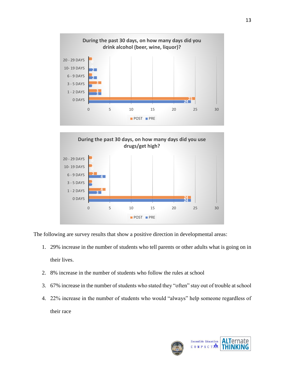



The following are survey results that show a positive direction in developmental areas:

- 1. 29% increase in the number of students who tell parents or other adults what is going on in their lives.
- 2. 8% increase in the number of students who follow the rules at school
- 3. 67% increase in the number of students who stated they "often" stay out of trouble at school
- 4. 22% increase in the number of students who would "always" help someone regardless of their race



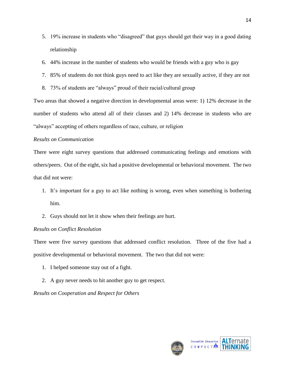- 5. 19% increase in students who "disagreed" that guys should get their way in a good dating relationship
- 6. 44% increase in the number of students who would be friends with a guy who is gay
- 7. 85% of students do not think guys need to act like they are sexually active, if they are not
- 8. 73% of students are "always" proud of their racial/cultural group

Two areas that showed a negative direction in developmental areas were: 1) 12% decrease in the number of students who attend all of their classes and 2) 14% decrease in students who are "always" accepting of others regardless of race, culture, or religion

## *Results on Communication*

There were eight survey questions that addressed communicating feelings and emotions with others/peers. Out of the eight, six had a positive developmental or behavioral movement. The two that did not were:

- 1. It's important for a guy to act like nothing is wrong, even when something is bothering him.
- 2. Guys should not let it show when their feelings are hurt.

## *Results on Conflict Resolution*

There were five survey questions that addressed conflict resolution. Three of the five had a positive developmental or behavioral movement. The two that did not were:

- 1. I helped someone stay out of a fight.
- 2. A guy never needs to hit another guy to get respect.

*Results on Cooperation and Respect for Others*





14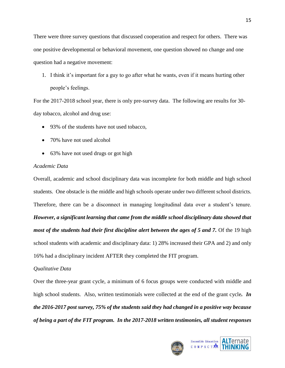There were three survey questions that discussed cooperation and respect for others. There was one positive developmental or behavioral movement, one question showed no change and one question had a negative movement:

1. I think it's important for a guy to go after what he wants, even if it means hurting other people's feelings.

For the 2017-2018 school year, there is only pre-survey data. The following are results for 30 day tobacco, alcohol and drug use:

- 93% of the students have not used tobacco,
- 70% have not used alcohol
- 63% have not used drugs or got high

## *Academic Data*

Overall, academic and school disciplinary data was incomplete for both middle and high school students. One obstacle is the middle and high schools operate under two different school districts. Therefore, there can be a disconnect in managing longitudinal data over a student's tenure. *However, a significant learning that came from the middle school disciplinary data showed that most of the students had their first discipline alert between the ages of 5 and 7.* Of the 19 high school students with academic and disciplinary data: 1) 28% increased their GPA and 2) and only 16% had a disciplinary incident AFTER they completed the FIT program.

## *Qualitative Data*

Over the three-year grant cycle, a minimum of 6 focus groups were conducted with middle and high school students. Also, written testimonials were collected at the end of the grant cycle*. In the 2016-2017 post survey, 75% of the students said they had changed in a positive way because of being a part of the FIT program. In the 2017-2018 written testimonies, all student responses* 



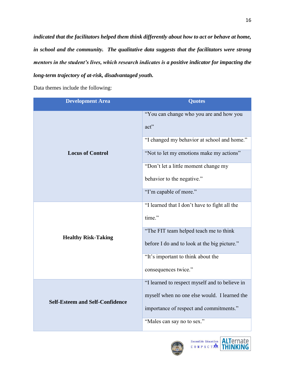*indicated that the facilitators helped them think differently about how to act or behave at home, in school and the community. The qualitative data suggests that the facilitators were strong mentors in the student's lives, which research indicates is a positive indicator for impacting the long-term trajectory of at-risk, disadvantaged youth.* 

Data themes include the following:

| <b>Development Area</b>                | <b>Quotes</b>                                   |
|----------------------------------------|-------------------------------------------------|
| <b>Locus of Control</b>                | "You can change who you are and how you<br>act" |
|                                        | "I changed my behavior at school and home."     |
|                                        | "Not to let my emotions make my actions"        |
|                                        | "Don't let a little moment change my            |
|                                        | behavior to the negative."                      |
|                                        | "I'm capable of more."                          |
| <b>Healthy Risk-Taking</b>             | "I learned that I don't have to fight all the   |
|                                        | time."                                          |
|                                        | "The FIT team helped teach me to think          |
|                                        | before I do and to look at the big picture."    |
|                                        | "It's important to think about the              |
|                                        | consequences twice."                            |
| <b>Self-Esteem and Self-Confidence</b> | "I learned to respect myself and to believe in  |
|                                        | myself when no one else would. I learned the    |
|                                        | importance of respect and commitments."         |
|                                        | "Males can say no to sex."                      |



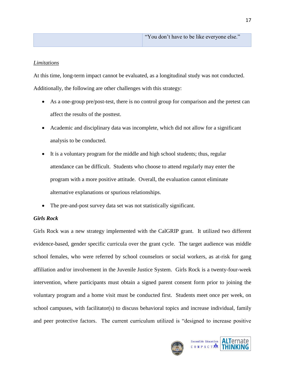## *Limitations*

At this time, long-term impact cannot be evaluated, as a longitudinal study was not conducted. Additionally, the following are other challenges with this strategy:

- As a one-group pre/post-test, there is no control group for comparison and the pretest can affect the results of the posttest.
- Academic and disciplinary data was incomplete, which did not allow for a significant analysis to be conducted.
- It is a voluntary program for the middle and high school students; thus, regular attendance can be difficult. Students who choose to attend regularly may enter the program with a more positive attitude. Overall, the evaluation cannot eliminate alternative explanations or spurious relationships.
- The pre-and-post survey data set was not statistically significant.

## *Girls Rock*

Girls Rock was a new strategy implemented with the CalGRIP grant. It utilized two different evidence-based, gender specific curricula over the grant cycle. The target audience was middle school females, who were referred by school counselors or social workers, as at-risk for gang affiliation and/or involvement in the Juvenile Justice System. Girls Rock is a twenty-four-week intervention, where participants must obtain a signed parent consent form prior to joining the voluntary program and a home visit must be conducted first. Students meet once per week, on school campuses, with facilitator(s) to discuss behavioral topics and increase individual, family and peer protective factors. The current curriculum utilized is "designed to increase positive



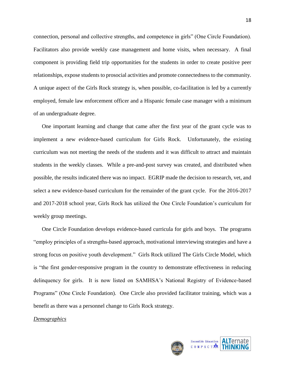connection, personal and collective strengths, and competence in girls" (One Circle Foundation). Facilitators also provide weekly case management and home visits, when necessary. A final component is providing field trip opportunities for the students in order to create positive peer relationships, expose students to prosocial activities and promote connectedness to the community. A unique aspect of the Girls Rock strategy is, when possible, co-facilitation is led by a currently employed, female law enforcement officer and a Hispanic female case manager with a minimum of an undergraduate degree.

One important learning and change that came after the first year of the grant cycle was to implement a new evidence-based curriculum for Girls Rock. Unfortunately, the existing curriculum was not meeting the needs of the students and it was difficult to attract and maintain students in the weekly classes. While a pre-and-post survey was created, and distributed when possible, the results indicated there was no impact. EGRIP made the decision to research, vet, and select a new evidence-based curriculum for the remainder of the grant cycle. For the 2016-2017 and 2017-2018 school year, Girls Rock has utilized the One Circle Foundation's curriculum for weekly group meetings.

One Circle Foundation develops evidence-based curricula for girls and boys. The programs "employ principles of a strengths-based approach, motivational interviewing strategies and have a strong focus on positive youth development." Girls Rock utilized The Girls Circle Model, which is "the first gender-responsive program in the country to demonstrate effectiveness in reducing delinquency for girls. It is now listed on SAMHSA's National Registry of Evidence-based Programs" (One Circle Foundation). One Circle also provided facilitator training, which was a benefit as there was a personnel change to Girls Rock strategy.

#### *Demographics*



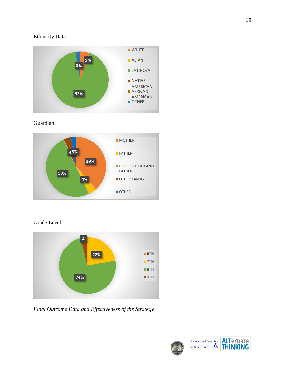## Ethnicity Data



Guardian



Grade Level



*Final Outcome Data and Effectiveness of the Strategy*





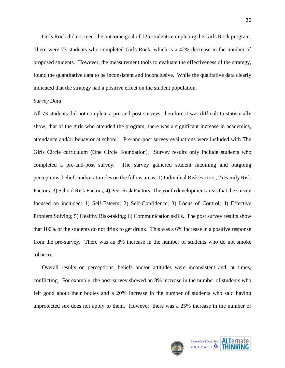Girls Rock did not meet the outcome goal of 125 students completing the Girls Rock program. There were 73 students who completed Girls Rock, which is a 42% decrease in the number of proposed students. However, the measurement tools to evaluate the effectiveness of the strategy, found the quantitative data to be inconsistent and inconclusive. While the qualitative data clearly indicated that the strategy had a positive effect on the student population.

#### *Survey Data*

All 73 students did not complete a pre-and-post surveys, therefore it was difficult to statistically show, that of the girls who attended the program, there was a significant increase in academics, attendance and/or behavior at school. Pre-and-post survey evaluations were included with The Girls Circle curriculum (One Circle Foundation). Survey results only include students who completed a pre-and-post survey. The survey gathered student incoming and outgoing perceptions, beliefs and/or attitudes on the follow areas: 1) Individual Risk Factors; 2) Family Risk Factors; 3) School Risk Factors; 4) Peer Risk Factors. The youth development areas that the survey focused on included: 1) Self-Esteem; 2) Self-Confidence; 3) Locus of Control; 4) Effective Problem Solving; 5) Healthy Risk-taking; 6) Communication skills. The post survey results show that 100% of the students do not drink to get drunk. This was a 6% increase in a positive response from the pre-survey. There was an 8% increase in the number of students who do not smoke tobacco.

Overall results on perceptions, beliefs and/or attitudes were inconsistent and, at times, conflicting. For example, the post-survey showed an 8% increase in the number of students who felt good about their bodies and a 20% increase in the number of students who said having unprotected sex does not apply to them. However, there was a 25% increase in the number of



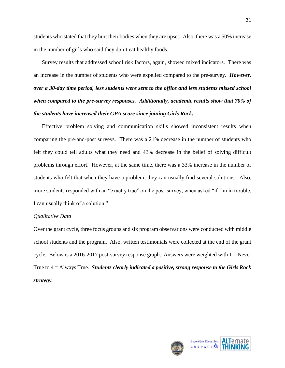students who stated that they hurt their bodies when they are upset. Also, there was a 50% increase in the number of girls who said they don't eat healthy foods.

Survey results that addressed school risk factors, again, showed mixed indicators. There was an increase in the number of students who were expelled compared to the pre-survey. *However, over a 30-day time period, less students were sent to the office and less students missed school when compared to the pre-survey responses. Additionally, academic results show that 70% of the students have increased their GPA score since joining Girls Rock.* 

Effective problem solving and communication skills showed inconsistent results when comparing the pre-and-post surveys. There was a 21% decrease in the number of students who felt they could tell adults what they need and 43% decrease in the belief of solving difficult problems through effort. However, at the same time, there was a 33% increase in the number of students who felt that when they have a problem, they can usually find several solutions. Also, more students responded with an "exactly true" on the post-survey, when asked "if I'm in trouble, I can usually think of a solution."

## *Qualitative Data*

Over the grant cycle, three focus groups and six program observations were conducted with middle school students and the program. Also, written testimonials were collected at the end of the grant cycle*.* Below is a 2016-2017 post-survey response graph. Answers were weighted with 1 = Never True to 4 = Always True*. Students clearly indicated a positive, strong response to the Girls Rock strategy.*

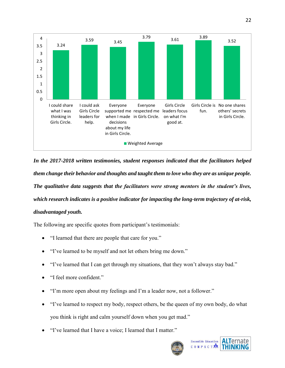

*In the 2017-2018 written testimonies, student responses indicated that the facilitators helped them change their behavior and thoughts and taught them to love who they are as unique people. The qualitative data suggests that the facilitators were strong mentors in the student's lives, which research indicates is a positive indicator for impacting the long-term trajectory of at-risk, disadvantaged youth.* 

The following are specific quotes from participant's testimonials:

- "I learned that there are people that care for you."
- "I've learned to be myself and not let others bring me down."
- "I've learned that I can get through my situations, that they won't always stay bad."
- "I feel more confident."
- "I'm more open about my feelings and I'm a leader now, not a follower."
- "I've learned to respect my body, respect others, be the queen of my own body, do what you think is right and calm yourself down when you get mad."
- "I've learned that I have a voice; I learned that I matter."



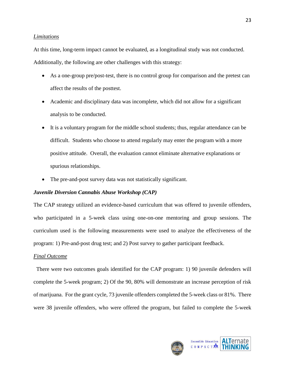#### *Limitations*

At this time, long-term impact cannot be evaluated, as a longitudinal study was not conducted. Additionally, the following are other challenges with this strategy:

- As a one-group pre/post-test, there is no control group for comparison and the pretest can affect the results of the posttest.
- Academic and disciplinary data was incomplete, which did not allow for a significant analysis to be conducted.
- It is a voluntary program for the middle school students; thus, regular attendance can be difficult. Students who choose to attend regularly may enter the program with a more positive attitude. Overall, the evaluation cannot eliminate alternative explanations or spurious relationships.
- The pre-and-post survey data was not statistically significant.

## *Juvenile Diversion Cannabis Abuse Workshop (CAP)*

The CAP strategy utilized an evidence-based curriculum that was offered to juvenile offenders, who participated in a 5-week class using one-on-one mentoring and group sessions. The curriculum used is the following measurements were used to analyze the effectiveness of the program: 1) Pre-and-post drug test; and 2) Post survey to gather participant feedback.

## *Final Outcome*

 There were two outcomes goals identified for the CAP program: 1) 90 juvenile defenders will complete the 5-week program; 2) Of the 90, 80% will demonstrate an increase perception of risk of marijuana. For the grant cycle, 73 juvenile offenders completed the 5-week class or 81%. There were 38 juvenile offenders, who were offered the program, but failed to complete the 5-week



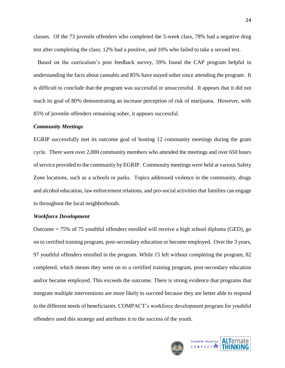classes. Of the 73 juvenile offenders who completed the 5-week class, 78% had a negative drug test after completing the class; 12% had a positive, and 10% who failed to take a second test.

 Based on the curriculum's post feedback survey, 59% found the CAP program helpful in understanding the facts about cannabis and 85% have stayed sober since attending the program. It is difficult to conclude that the program was successful or unsuccessful. It appears that it did not reach its goal of 80% demonstrating an increase perception of risk of marijuana. However, with 85% of juvenile offenders remaining sober, it appears successful.

#### *Community Meetings*

EGRIP successfully met its outcome goal of hosting 12 community meetings during the grant cycle. There were over 2,000 community members who attended the meetings and over 650 hours of service provided to the community by EGRIP. Community meetings were held at various Safety Zone locations, such as a schools or parks. Topics addressed violence in the community, drugs and alcohol education, law enforcement relations, and pro-social activities that families can engage in throughout the local neighborhoods.

#### *Workforce Development*

Outcome = 75% of 75 youthful offenders enrolled will receive a high school diploma (GED), go on to certified training program, post-secondary education or become employed. Over the 3 years, 97 youthful offenders enrolled in the program. While 15 left without completing the program, 82 completed, which means they went on to a certified training program, post-secondary education and/or became employed. This exceeds the outcome. There is strong evidence that programs that integrate multiple interventions are more likely to succeed because they are better able to respond to the different needs of beneficiaries. COMPACT's workforce development program for youthful offenders used this strategy and attributes it to the success of the youth.



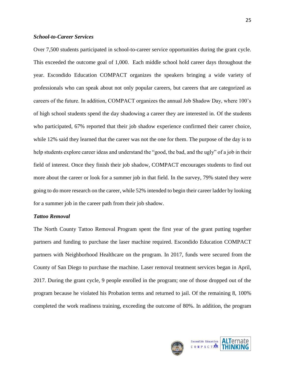## *School-to-Career Services*

Over 7,500 students participated in school-to-career service opportunities during the grant cycle. This exceeded the outcome goal of 1,000. Each middle school hold career days throughout the year. Escondido Education COMPACT organizes the speakers bringing a wide variety of professionals who can speak about not only popular careers, but careers that are categorized as careers of the future. In addition, COMPACT organizes the annual Job Shadow Day, where 100's of high school students spend the day shadowing a career they are interested in. Of the students who participated, 67% reported that their job shadow experience confirmed their career choice, while 12% said they learned that the career was not the one for them. The purpose of the day is to help students explore career ideas and understand the "good, the bad, and the ugly" of a job in their field of interest. Once they finish their job shadow, COMPACT encourages students to find out more about the career or look for a summer job in that field. In the survey, 79% stated they were going to do more research on the career, while 52% intended to begin their career ladder by looking for a summer job in the career path from their job shadow.

#### *Tattoo Removal*

The North County Tattoo Removal Program spent the first year of the grant putting together partners and funding to purchase the laser machine required. Escondido Education COMPACT partners with Neighborhood Healthcare on the program. In 2017, funds were secured from the County of San Diego to purchase the machine. Laser removal treatment services began in April, 2017. During the grant cycle, 9 people enrolled in the program; one of those dropped out of the program because he violated his Probation terms and returned to jail. Of the remaining 8, 100% completed the work readiness training, exceeding the outcome of 80%. In addition, the program



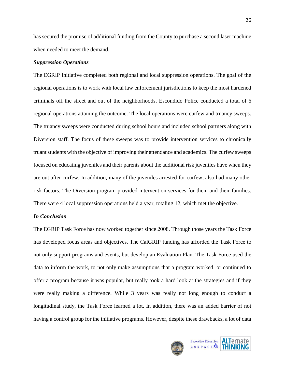has secured the promise of additional funding from the County to purchase a second laser machine when needed to meet the demand.

#### *Suppression Operations*

The EGRIP Initiative completed both regional and local suppression operations. The goal of the regional operations is to work with local law enforcement jurisdictions to keep the most hardened criminals off the street and out of the neighborhoods. Escondido Police conducted a total of 6 regional operations attaining the outcome. The local operations were curfew and truancy sweeps. The truancy sweeps were conducted during school hours and included school partners along with Diversion staff. The focus of these sweeps was to provide intervention services to chronically truant students with the objective of improving their attendance and academics. The curfew sweeps focused on educating juveniles and their parents about the additional risk juveniles have when they are out after curfew. In addition, many of the juveniles arrested for curfew, also had many other risk factors. The Diversion program provided intervention services for them and their families. There were 4 local suppression operations held a year, totaling 12, which met the objective.

#### *In Conclusion*

The EGRIP Task Force has now worked together since 2008. Through those years the Task Force has developed focus areas and objectives. The CalGRIP funding has afforded the Task Force to not only support programs and events, but develop an Evaluation Plan. The Task Force used the data to inform the work, to not only make assumptions that a program worked, or continued to offer a program because it was popular, but really took a hard look at the strategies and if they were really making a difference. While 3 years was really not long enough to conduct a longitudinal study, the Task Force learned a lot. In addition, there was an added barrier of not having a control group for the initiative programs. However, despite these drawbacks, a lot of data